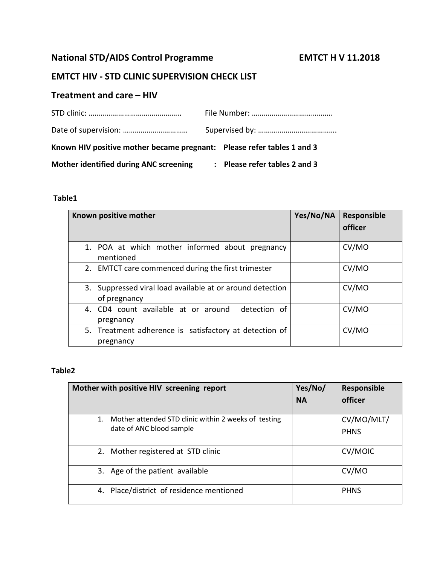# National STD/AIDS Control Programme **EMTCT H V 11.2018**

## **EMTCT HIV - STD CLINIC SUPERVISION CHECK LIST**

### **Treatment and care – HIV**

| Known HIV positive mother became pregnant: Please refer tables 1 and 3 |  |                               |
|------------------------------------------------------------------------|--|-------------------------------|
| Mother identified during ANC screening                                 |  | : Please refer tables 2 and 3 |

#### **Table1**

| Known positive mother                                                     | Yes/No/NA | Responsible |
|---------------------------------------------------------------------------|-----------|-------------|
|                                                                           |           | officer     |
| 1. POA at which mother informed about pregnancy<br>mentioned              |           | CV/MO       |
| 2. EMTCT care commenced during the first trimester                        |           | CV/MO       |
| 3. Suppressed viral load available at or around detection<br>of pregnancy |           | CV/MO       |
| 4. CD4 count available at or around<br>detection of<br>pregnancy          |           | CV/MO       |
| 5. Treatment adherence is satisfactory at detection of<br>pregnancy       |           | CV/MO       |

#### **Table2**

| Mother with positive HIV screening report                                        | Yes/No/<br><b>NA</b> | Responsible<br>officer    |
|----------------------------------------------------------------------------------|----------------------|---------------------------|
| Mother attended STD clinic within 2 weeks of testing<br>date of ANC blood sample |                      | CV/MO/MLT/<br><b>PHNS</b> |
| 2. Mother registered at STD clinic                                               |                      | <b>CV/MOIC</b>            |
| 3. Age of the patient available                                                  |                      | CV/MO                     |
| 4. Place/district of residence mentioned                                         |                      | <b>PHNS</b>               |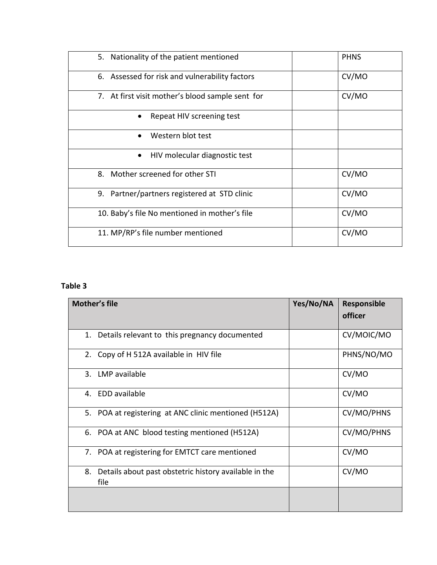| 5. Nationality of the patient mentioned          | <b>PHNS</b> |
|--------------------------------------------------|-------------|
| 6. Assessed for risk and vulnerability factors   | CV/MO       |
| 7. At first visit mother's blood sample sent for | CV/MO       |
| Repeat HIV screening test                        |             |
| Western blot test<br>$\bullet$                   |             |
| HIV molecular diagnostic test<br>$\bullet$       |             |
| 8. Mother screened for other STI                 | CV/MO       |
| 9. Partner/partners registered at STD clinic     | CV/MO       |
| 10. Baby's file No mentioned in mother's file    | CV/MO       |
| 11. MP/RP's file number mentioned                | CV/MO       |

#### **Table 3**

| Mother's file                                                       | Yes/No/NA | Responsible<br>officer |
|---------------------------------------------------------------------|-----------|------------------------|
| Details relevant to this pregnancy documented<br>1.                 |           | CV/MOIC/MO             |
| 2. Copy of H 512A available in HIV file                             |           | PHNS/NO/MO             |
| 3. LMP available                                                    |           | CV/MO                  |
| 4. EDD available                                                    |           | CV/MO                  |
| 5. POA at registering at ANC clinic mentioned (H512A)               |           | CV/MO/PHNS             |
| 6. POA at ANC blood testing mentioned (H512A)                       |           | CV/MO/PHNS             |
| 7. POA at registering for EMTCT care mentioned                      |           | CV/MO                  |
| 8.<br>Details about past obstetric history available in the<br>file |           | CV/MO                  |
|                                                                     |           |                        |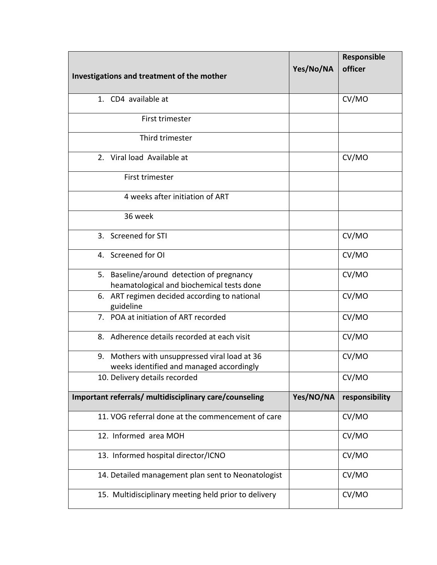| Investigations and treatment of the mother                                                | Yes/No/NA | Responsible<br>officer |
|-------------------------------------------------------------------------------------------|-----------|------------------------|
|                                                                                           |           |                        |
| 1. CD4 available at                                                                       |           | CV/MO                  |
| First trimester                                                                           |           |                        |
| Third trimester                                                                           |           |                        |
| 2. Viral load Available at                                                                |           | CV/MO                  |
| First trimester                                                                           |           |                        |
| 4 weeks after initiation of ART                                                           |           |                        |
| 36 week                                                                                   |           |                        |
| 3. Screened for STI                                                                       |           | CV/MO                  |
| 4. Screened for OI                                                                        |           | CV/MO                  |
| 5. Baseline/around detection of pregnancy<br>heamatological and biochemical tests done    |           | CV/MO                  |
| 6. ART regimen decided according to national<br>guideline                                 |           | CV/MO                  |
| 7. POA at initiation of ART recorded                                                      |           | CV/MO                  |
| 8. Adherence details recorded at each visit                                               |           | CV/MO                  |
| 9. Mothers with unsuppressed viral load at 36<br>weeks identified and managed accordingly |           | CV/MO                  |
| 10. Delivery details recorded                                                             |           | CV/MO                  |
| Important referrals/ multidisciplinary care/counseling                                    | Yes/NO/NA | responsibility         |
| 11. VOG referral done at the commencement of care                                         |           | CV/MO                  |
| 12. Informed area MOH                                                                     |           | CV/MO                  |
| 13. Informed hospital director/ICNO                                                       |           | CV/MO                  |
| 14. Detailed management plan sent to Neonatologist                                        |           | CV/MO                  |
| 15. Multidisciplinary meeting held prior to delivery                                      |           | CV/MO                  |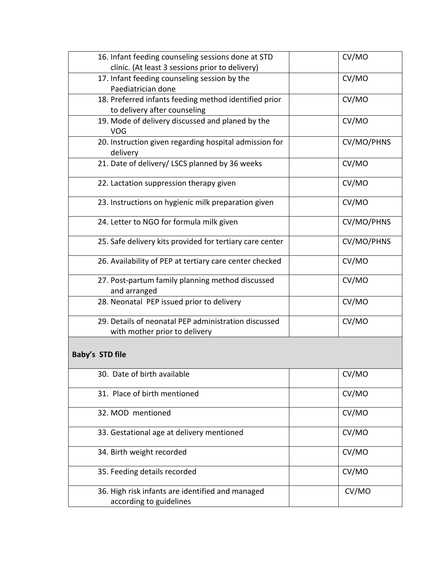| 16. Infant feeding counseling sessions done at STD<br>clinic. (At least 3 sessions prior to delivery) | CV/MO      |
|-------------------------------------------------------------------------------------------------------|------------|
| 17. Infant feeding counseling session by the<br>Paediatrician done                                    | CV/MO      |
| 18. Preferred infants feeding method identified prior<br>to delivery after counseling                 | CV/MO      |
| 19. Mode of delivery discussed and planed by the<br>VOG                                               | CV/MO      |
| 20. Instruction given regarding hospital admission for<br>delivery                                    | CV/MO/PHNS |
| 21. Date of delivery/ LSCS planned by 36 weeks                                                        | CV/MO      |
| 22. Lactation suppression therapy given                                                               | CV/MO      |
| 23. Instructions on hygienic milk preparation given                                                   | CV/MO      |
| 24. Letter to NGO for formula milk given                                                              | CV/MO/PHNS |
| 25. Safe delivery kits provided for tertiary care center                                              | CV/MO/PHNS |
| 26. Availability of PEP at tertiary care center checked                                               | CV/MO      |
| 27. Post-partum family planning method discussed<br>and arranged                                      | CV/MO      |
| 28. Neonatal PEP issued prior to delivery                                                             | CV/MO      |
| 29. Details of neonatal PEP administration discussed<br>with mother prior to delivery                 | CV/MO      |
| Baby's STD file                                                                                       |            |
| 30. Date of birth available                                                                           | CV/MO      |
| 31. Place of birth mentioned                                                                          | CV/MO      |
| 32. MOD mentioned                                                                                     | CV/MO      |
| 33. Gestational age at delivery mentioned                                                             | CV/MO      |
| 34. Birth weight recorded                                                                             | CV/MO      |
| 35. Feeding details recorded                                                                          | CV/MO      |
| 36. High risk infants are identified and managed<br>according to guidelines                           | CV/MO      |